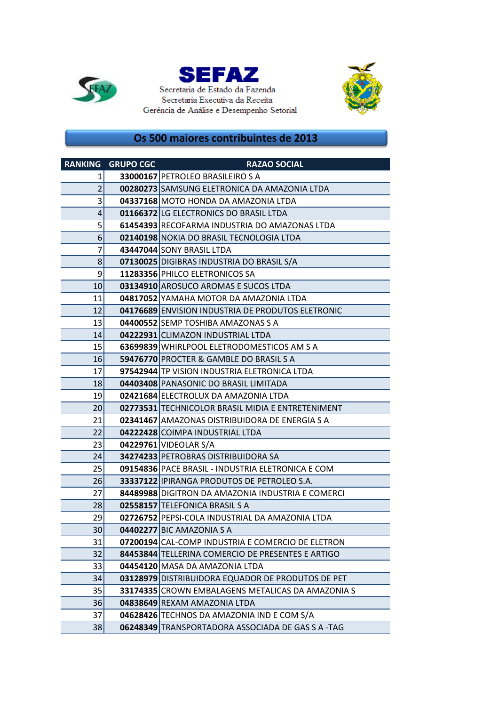





## **Os 500 maiores contribuintes de 2013**

|                 | <b>RANKING GRUPO CGC</b> | <b>RAZAO SOCIAL</b>                                   |
|-----------------|--------------------------|-------------------------------------------------------|
| 1               |                          | 33000167 PETROLEO BRASILEIRO S A                      |
| $\overline{2}$  |                          | 00280273 SAMSUNG ELETRONICA DA AMAZONIA LTDA          |
| 3               |                          | 04337168 MOTO HONDA DA AMAZONIA LTDA                  |
| 4               |                          | 01166372 LG ELECTRONICS DO BRASIL LTDA                |
| 5               |                          | 61454393 RECOFARMA INDUSTRIA DO AMAZONAS LTDA         |
| 6               |                          | 02140198 NOKIA DO BRASIL TECNOLOGIA LTDA              |
| 7               |                          | 43447044 SONY BRASIL LTDA                             |
| 8               |                          | 07130025 DIGIBRAS INDUSTRIA DO BRASIL S/A             |
| 9               |                          | 11283356 PHILCO ELETRONICOS SA                        |
| 10              |                          | 03134910 AROSUCO AROMAS E SUCOS LTDA                  |
| 11              |                          | 04817052 YAMAHA MOTOR DA AMAZONIA LTDA                |
| 12              |                          | 04176689 ENVISION INDUSTRIA DE PRODUTOS ELETRONIC     |
| 13              |                          | 04400552 SEMP TOSHIBA AMAZONAS S A                    |
| 14              |                          | 04222931 CLIMAZON INDUSTRIAL LTDA                     |
| 15              |                          | 63699839 WHIRLPOOL ELETRODOMESTICOS AM S A            |
| 16              |                          | <b>59476770 PROCTER &amp; GAMBLE DO BRASIL S A</b>    |
| 17              |                          | 97542944 TP VISION INDUSTRIA ELETRONICA LTDA          |
| 18              |                          | 04403408 PANASONIC DO BRASIL LIMITADA                 |
| 19              |                          | 02421684 ELECTROLUX DA AMAZONIA LTDA                  |
| 20 <sup>1</sup> |                          | 02773531 TECHNICOLOR BRASIL MIDIA E ENTRETENIMENT     |
| 21              |                          | <b>02341467</b> AMAZONAS DISTRIBUIDORA DE ENERGIA S A |
| 22              |                          | 04222428 COIMPA INDUSTRIAL LTDA                       |
| 23              |                          | 04229761 VIDEOLAR S/A                                 |
| 24              |                          | 34274233 PETROBRAS DISTRIBUIDORA SA                   |
| 25              |                          | 09154836 PACE BRASIL - INDUSTRIA ELETRONICA E COM     |
| 26              |                          | 33337122 IPIRANGA PRODUTOS DE PETROLEO S.A.           |
| 27              |                          | 84489988 DIGITRON DA AMAZONIA INDUSTRIA E COMERCI     |
| 28              |                          | 02558157 TELEFONICA BRASIL S A                        |
| 29              |                          | 02726752 PEPSI-COLA INDUSTRIAL DA AMAZONIA LTDA       |
| 30 <sup>2</sup> |                          | 04402277 BIC AMAZONIA S A                             |
| 31              |                          | 07200194 CAL-COMP INDUSTRIA E COMERCIO DE ELETRON     |
| 32              |                          | 84453844 TELLERINA COMERCIO DE PRESENTES E ARTIGO     |
| 33              |                          | 04454120 MASA DA AMAZONIA LTDA                        |
| 34              |                          | 03128979 DISTRIBUIDORA EQUADOR DE PRODUTOS DE PET     |
| 35              |                          | 33174335 CROWN EMBALAGENS METALICAS DA AMAZONIA S     |
| 36              |                          | 04838649 REXAM AMAZONIA LTDA                          |
| 37              |                          | 04628426 TECHNOS DA AMAZONIA IND E COM S/A            |
| 38              |                          | 06248349 TRANSPORTADORA ASSOCIADA DE GAS S A -TAG     |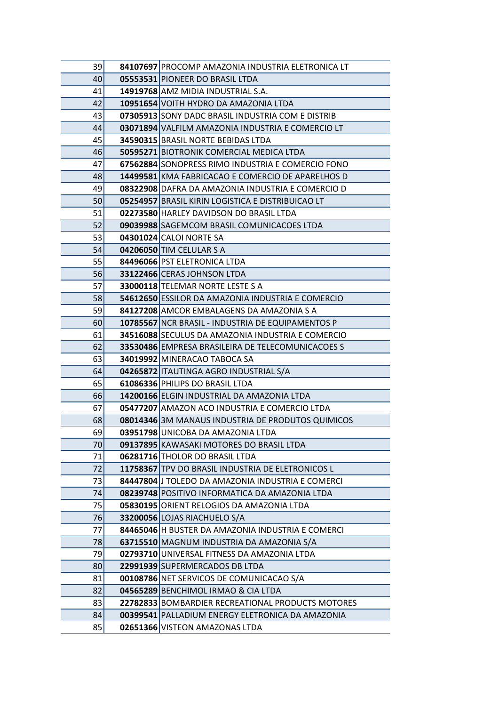| 39 | 84107697 PROCOMP AMAZONIA INDUSTRIA ELETRONICA LT |
|----|---------------------------------------------------|
| 40 | 05553531 PIONEER DO BRASIL LTDA                   |
| 41 | 14919768 AMZ MIDIA INDUSTRIAL S.A.                |
| 42 | 10951654 VOITH HYDRO DA AMAZONIA LTDA             |
| 43 | 07305913 SONY DADC BRASIL INDUSTRIA COM E DISTRIB |
| 44 | 03071894 VALFILM AMAZONIA INDUSTRIA E COMERCIO LT |
| 45 | 34590315 BRASIL NORTE BEBIDAS LTDA                |
| 46 | 50595271 BIOTRONIK COMERCIAL MEDICA LTDA          |
| 47 | 67562884 SONOPRESS RIMO INDUSTRIA E COMERCIO FONO |
| 48 | 14499581 KMA FABRICACAO E COMERCIO DE APARELHOS D |
| 49 | 08322908 DAFRA DA AMAZONIA INDUSTRIA E COMERCIO D |
| 50 | 05254957 BRASIL KIRIN LOGISTICA E DISTRIBUICAO LT |
| 51 | 02273580 HARLEY DAVIDSON DO BRASIL LTDA           |
| 52 | 09039988 SAGEMCOM BRASIL COMUNICACOES LTDA        |
| 53 | 04301024 CALOI NORTE SA                           |
| 54 | 04206050 TIM CELULAR S A                          |
| 55 | 84496066 PST ELETRONICA LTDA                      |
| 56 | 33122466 CERAS JOHNSON LTDA                       |
| 57 | 33000118 TELEMAR NORTE LESTE S A                  |
| 58 | 54612650 ESSILOR DA AMAZONIA INDUSTRIA E COMERCIO |
| 59 | 84127208 AMCOR EMBALAGENS DA AMAZONIA S A         |
| 60 | 10785567 NCR BRASIL - INDUSTRIA DE EQUIPAMENTOS P |
| 61 | 34516088 SECULUS DA AMAZONIA INDUSTRIA E COMERCIO |
| 62 | 33530486 EMPRESA BRASILEIRA DE TELECOMUNICACOES S |
| 63 | 34019992 MINERACAO TABOCA SA                      |
| 64 | 04265872   ITAUTINGA AGRO INDUSTRIAL S/A          |
| 65 | 61086336 PHILIPS DO BRASIL LTDA                   |
| 66 | 14200166 ELGIN INDUSTRIAL DA AMAZONIA LTDA        |
| 67 | 05477207 AMAZON ACO INDUSTRIA E COMERCIO LTDA     |
| 68 | 08014346 3M MANAUS INDUSTRIA DE PRODUTOS QUIMICOS |
| 69 | 03951798 UNICOBA DA AMAZONIA LTDA                 |
| 70 | 09137895 KAWASAKI MOTORES DO BRASIL LTDA          |
| 71 | 06281716 THOLOR DO BRASIL LTDA                    |
| 72 | 11758367 TPV DO BRASIL INDUSTRIA DE ELETRONICOS L |
| 73 | 84447804 J TOLEDO DA AMAZONIA INDUSTRIA E COMERCI |
| 74 | 08239748 POSITIVO INFORMATICA DA AMAZONIA LTDA    |
| 75 | 05830195 ORIENT RELOGIOS DA AMAZONIA LTDA         |
| 76 | 33200056 LOJAS RIACHUELO S/A                      |
| 77 | 84465046 H BUSTER DA AMAZONIA INDUSTRIA E COMERCI |
| 78 | 63715510 MAGNUM INDUSTRIA DA AMAZONIA S/A         |
| 79 | 02793710 UNIVERSAL FITNESS DA AMAZONIA LTDA       |
| 80 | 22991939 SUPERMERCADOS DB LTDA                    |
| 81 | 00108786 NET SERVICOS DE COMUNICACAO S/A          |
| 82 | 04565289 BENCHIMOL IRMAO & CIA LTDA               |
| 83 | 22782833 BOMBARDIER RECREATIONAL PRODUCTS MOTORES |
| 84 | 00399541 PALLADIUM ENERGY ELETRONICA DA AMAZONIA  |
| 85 | 02651366 VISTEON AMAZONAS LTDA                    |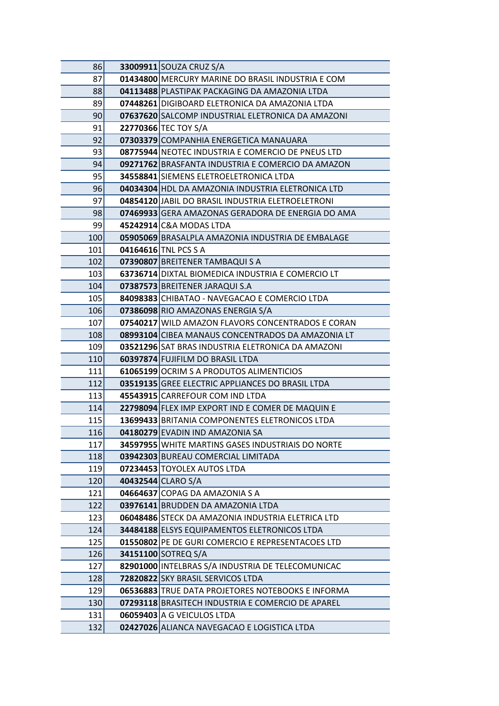| 86  | 33009911 SOUZA CRUZ S/A                           |
|-----|---------------------------------------------------|
| 87  | 01434800 MERCURY MARINE DO BRASIL INDUSTRIA E COM |
| 88  | 04113488 PLASTIPAK PACKAGING DA AMAZONIA LTDA     |
| 89  | 07448261 DIGIBOARD ELETRONICA DA AMAZONIA LTDA    |
| 90  | 07637620 SALCOMP INDUSTRIAL ELETRONICA DA AMAZONI |
| 91  | 22770366 TEC TOY S/A                              |
| 92  | 07303379 COMPANHIA ENERGETICA MANAUARA            |
| 93  | 08775944 NEOTEC INDUSTRIA E COMERCIO DE PNEUS LTD |
| 94  | 09271762 BRASFANTA INDUSTRIA E COMERCIO DA AMAZON |
| 95  | 34558841 SIEMENS ELETROELETRONICA LTDA            |
| 96  | 04034304 HDL DA AMAZONIA INDUSTRIA ELETRONICA LTD |
| 97  | 04854120 JABIL DO BRASIL INDUSTRIA ELETROELETRONI |
| 98  | 07469933 GERA AMAZONAS GERADORA DE ENERGIA DO AMA |
| 99  | 45242914 C&A MODAS LTDA                           |
| 100 | 05905069 BRASALPLA AMAZONIA INDUSTRIA DE EMBALAGE |
| 101 | 04164616 TNL PCS S A                              |
| 102 | 07390807 BREITENER TAMBAQUI S A                   |
| 103 | 63736714 DIXTAL BIOMEDICA INDUSTRIA E COMERCIO LT |
| 104 | 07387573 BREITENER JARAQUI S.A                    |
| 105 | 84098383 CHIBATAO - NAVEGACAO E COMERCIO LTDA     |
| 106 | 07386098 RIO AMAZONAS ENERGIA S/A                 |
| 107 | 07540217 WILD AMAZON FLAVORS CONCENTRADOS E CORAN |
| 108 | 08993104 CIBEA MANAUS CONCENTRADOS DA AMAZONIA LT |
| 109 | 03521296 SAT BRAS INDUSTRIA ELETRONICA DA AMAZONI |
| 110 | 60397874 FUJIFILM DO BRASIL LTDA                  |
| 111 | 61065199 OCRIM S A PRODUTOS ALIMENTICIOS          |
| 112 | 03519135 GREE ELECTRIC APPLIANCES DO BRASIL LTDA  |
| 113 | 45543915 CARREFOUR COM IND LTDA                   |
| 114 | 22798094 FLEX IMP EXPORT IND E COMER DE MAQUIN E  |
| 115 | 13699433 BRITANIA COMPONENTES ELETRONICOS LTDA    |
| 116 | 04180279 EVADIN IND AMAZONIA SA                   |
| 117 | 34597955 WHITE MARTINS GASES INDUSTRIAIS DO NORTE |
| 118 | 03942303 BUREAU COMERCIAL LIMITADA                |
| 119 | 07234453 TOYOLEX AUTOS LTDA                       |
| 120 | 40432544 CLARO S/A                                |
| 121 | 04664637 COPAG DA AMAZONIA S A                    |
| 122 | 03976141 BRUDDEN DA AMAZONIA LTDA                 |
| 123 | 06048486 STECK DA AMAZONIA INDUSTRIA ELETRICA LTD |
| 124 | 34484188 ELSYS EQUIPAMENTOS ELETRONICOS LTDA      |
| 125 | 01550802 PE DE GURI COMERCIO E REPRESENTACOES LTD |
| 126 | 34151100 SOTREQ S/A                               |
| 127 | 82901000 INTELBRAS S/A INDUSTRIA DE TELECOMUNICAC |
| 128 | 72820822 SKY BRASIL SERVICOS LTDA                 |
| 129 | 06536883 TRUE DATA PROJETORES NOTEBOOKS E INFORMA |
| 130 | 07293118 BRASITECH INDUSTRIA E COMERCIO DE APAREL |
| 131 | 06059403 A G VEICULOS LTDA                        |
| 132 | 02427026 ALIANCA NAVEGACAO E LOGISTICA LTDA       |
|     |                                                   |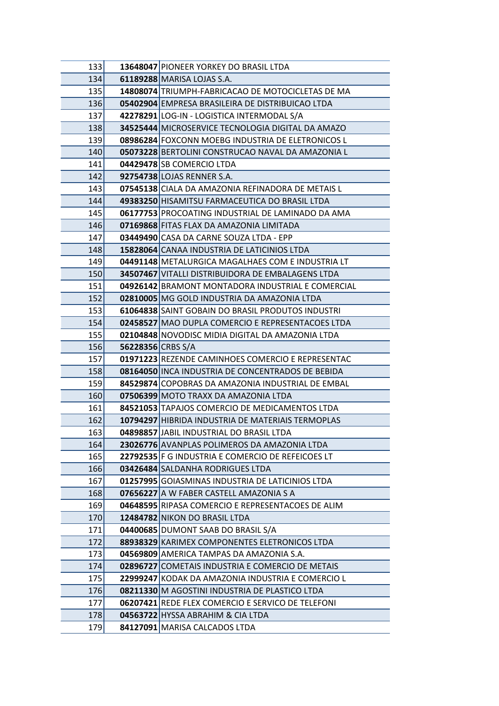| 133 <b>I</b> |                   | 13648047 PIONEER YORKEY DO BRASIL LTDA                              |
|--------------|-------------------|---------------------------------------------------------------------|
| 134          |                   | 61189288 MARISA LOJAS S.A.                                          |
| 135          |                   | 14808074 TRIUMPH-FABRICACAO DE MOTOCICLETAS DE MA                   |
| 136          |                   | 05402904 EMPRESA BRASILEIRA DE DISTRIBUICAO LTDA                    |
| 137          |                   | 42278291 LOG-IN - LOGISTICA INTERMODAL S/A                          |
| 138          |                   | 34525444 MICROSERVICE TECNOLOGIA DIGITAL DA AMAZO                   |
| 139          |                   | 08986284 FOXCONN MOEBG INDUSTRIA DE ELETRONICOS L                   |
| 140          |                   | 05073228 BERTOLINI CONSTRUCAO NAVAL DA AMAZONIA L                   |
| 141          |                   | 04429478 SB COMERCIO LTDA                                           |
| 142          |                   | 92754738 LOJAS RENNER S.A.                                          |
| 143          |                   | 07545138 CIALA DA AMAZONIA REFINADORA DE METAIS L                   |
| 144          |                   | 49383250 HISAMITSU FARMACEUTICA DO BRASIL LTDA                      |
| 145          |                   | 06177753 PROCOATING INDUSTRIAL DE LAMINADO DA AMA                   |
| 146          |                   | 07169868 FITAS FLAX DA AMAZONIA LIMITADA                            |
| 147          |                   | 03449490 CASA DA CARNE SOUZA LTDA - EPP                             |
| 148          |                   | 15828064 CANAA INDUSTRIA DE LATICINIOS LTDA                         |
| 149 l        |                   | 04491148 METALURGICA MAGALHAES COM E INDUSTRIA LT                   |
| 150          |                   | 34507467 VITALLI DISTRIBUIDORA DE EMBALAGENS LTDA                   |
| 151          |                   | 04926142 BRAMONT MONTADORA INDUSTRIAL E COMERCIAL                   |
| 152          |                   | 02810005 MG GOLD INDUSTRIA DA AMAZONIA LTDA                         |
| 153          |                   | 61064838 SAINT GOBAIN DO BRASIL PRODUTOS INDUSTRI                   |
| 154          |                   | 02458527 MAO DUPLA COMERCIO E REPRESENTACOES LTDA                   |
| 155          |                   | 02104848 NOVODISC MIDIA DIGITAL DA AMAZONIA LTDA                    |
| 156          | 56228356 CRBS S/A |                                                                     |
| 157          |                   | 01971223 REZENDE CAMINHOES COMERCIO E REPRESENTAC                   |
| 158          |                   | 08164050 INCA INDUSTRIA DE CONCENTRADOS DE BEBIDA                   |
| 159          |                   | 84529874 COPOBRAS DA AMAZONIA INDUSTRIAL DE EMBAL                   |
| 160          |                   | 07506399 MOTO TRAXX DA AMAZONIA LTDA                                |
| 161          |                   | 84521053 TAPAJOS COMERCIO DE MEDICAMENTOS LTDA                      |
| 162          |                   | 10794297 HIBRIDA INDUSTRIA DE MATERIAIS TERMOPLAS                   |
| 163          |                   | 04898857 JABIL INDUSTRIAL DO BRASIL LTDA                            |
| 164          |                   | 23026776 AVANPLAS POLIMEROS DA AMAZONIA LTDA                        |
| 165          |                   | 22792535 F G INDUSTRIA E COMERCIO DE REFEICOES LT                   |
| 166          |                   | 03426484 SALDANHA RODRIGUES LTDA                                    |
| 167          |                   | 01257995 GOIASMINAS INDUSTRIA DE LATICINIOS LTDA                    |
| 168          |                   | 07656227 A W FABER CASTELL AMAZONIA S A                             |
| 169          |                   | 04648595 RIPASA COMERCIO E REPRESENTACOES DE ALIM                   |
| 170<br>171   |                   | 12484782 NIKON DO BRASIL LTDA<br>04400685 DUMONT SAAB DO BRASIL S/A |
| 172          |                   | 88938329 KARIMEX COMPONENTES ELETRONICOS LTDA                       |
| 173          |                   | 04569809 AMERICA TAMPAS DA AMAZONIA S.A.                            |
| 174          |                   | 02896727 COMETAIS INDUSTRIA E COMERCIO DE METAIS                    |
| 175          |                   | 22999247 KODAK DA AMAZONIA INDUSTRIA E COMERCIO L                   |
| 176          |                   | 08211330 M AGOSTINI INDUSTRIA DE PLASTICO LTDA                      |
| 177          |                   | 06207421 REDE FLEX COMERCIO E SERVICO DE TELEFONI                   |
| 178          |                   | 04563722 HYSSA ABRAHIM & CIA LTDA                                   |
| 179          |                   | 84127091 MARISA CALCADOS LTDA                                       |
|              |                   |                                                                     |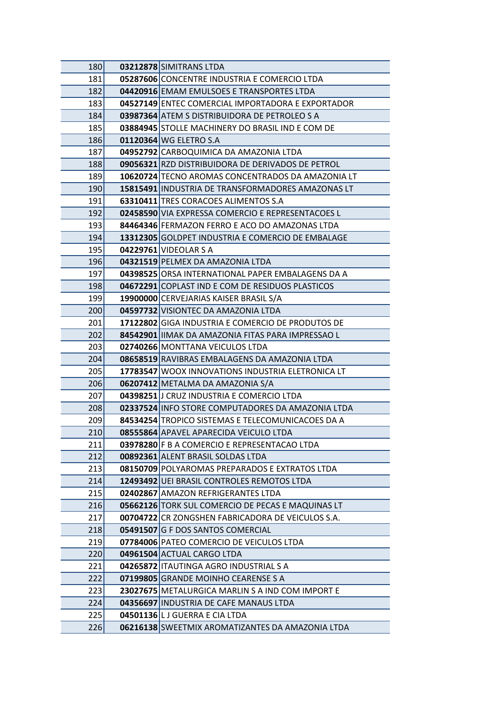| 180 | 03212878 SIMITRANS LTDA                           |
|-----|---------------------------------------------------|
| 181 | 05287606 CONCENTRE INDUSTRIA E COMERCIO LTDA      |
| 182 | 04420916 EMAM EMULSOES E TRANSPORTES LTDA         |
| 183 | 04527149 ENTEC COMERCIAL IMPORTADORA E EXPORTADOR |
| 184 | 03987364 ATEM S DISTRIBUIDORA DE PETROLEO S A     |
| 185 | 03884945 STOLLE MACHINERY DO BRASIL IND E COM DE  |
| 186 | 01120364 WG ELETRO S.A                            |
| 187 | 04952792 CARBOQUIMICA DA AMAZONIA LTDA            |
| 188 | 09056321 RZD DISTRIBUIDORA DE DERIVADOS DE PETROL |
| 189 | 10620724 TECNO AROMAS CONCENTRADOS DA AMAZONIA LT |
| 190 | 15815491 INDUSTRIA DE TRANSFORMADORES AMAZONAS LT |
| 191 | <b>63310411 TRES CORACOES ALIMENTOS S.A</b>       |
| 192 | 02458590 VIA EXPRESSA COMERCIO E REPRESENTACOES L |
| 193 | 84464346 FERMAZON FERRO E ACO DO AMAZONAS LTDA    |
| 194 | 13312305 GOLDPET INDUSTRIA E COMERCIO DE EMBALAGE |
| 195 | 04229761 VIDEOLAR S A                             |
| 196 | 04321519 PELMEX DA AMAZONIA LTDA                  |
| 197 | 04398525 ORSA INTERNATIONAL PAPER EMBALAGENS DA A |
| 198 | 04672291 COPLAST IND E COM DE RESIDUOS PLASTICOS  |
| 199 | 19900000 CERVEJARIAS KAISER BRASIL S/A            |
| 200 | 04597732 VISIONTEC DA AMAZONIA LTDA               |
| 201 | 17122802 GIGA INDUSTRIA E COMERCIO DE PRODUTOS DE |
| 202 | 84542901 IIMAK DA AMAZONIA FITAS PARA IMPRESSAO L |
| 203 | 02740266 MONTTANA VEICULOS LTDA                   |
| 204 | 08658519 RAVIBRAS EMBALAGENS DA AMAZONIA LTDA     |
| 205 | 17783547 WOOX INNOVATIONS INDUSTRIA ELETRONICA LT |
| 206 | 06207412 METALMA DA AMAZONIA S/A                  |
| 207 | 04398251 J CRUZ INDUSTRIA E COMERCIO LTDA         |
| 208 | 02337524 INFO STORE COMPUTADORES DA AMAZONIA LTDA |
| 209 | 84534254 TROPICO SISTEMAS E TELECOMUNICACOES DA A |
| 210 | 08555864 APAVEL APARECIDA VEICULO LTDA            |
| 211 | 03978280 F B A COMERCIO E REPRESENTACAO LTDA      |
| 212 | 00892361 ALENT BRASIL SOLDAS LTDA                 |
| 213 | 08150709 POLYAROMAS PREPARADOS E EXTRATOS LTDA    |
| 214 | 12493492 UEI BRASIL CONTROLES REMOTOS LTDA        |
| 215 | 02402867 AMAZON REFRIGERANTES LTDA                |
| 216 | 05662126 TORK SUL COMERCIO DE PECAS E MAQUINAS LT |
| 217 | 00704722 CR ZONGSHEN FABRICADORA DE VEICULOS S.A. |
| 218 | 05491507 G F DOS SANTOS COMERCIAL                 |
| 219 | 07784006 PATEO COMERCIO DE VEICULOS LTDA          |
| 220 | 04961504 ACTUAL CARGO LTDA                        |
| 221 | 04265872 ITAUTINGA AGRO INDUSTRIAL S A            |
| 222 | 07199805 GRANDE MOINHO CEARENSE S A               |
| 223 | 23027675 METALURGICA MARLIN S A IND COM IMPORT E  |
| 224 | 04356697 INDUSTRIA DE CAFE MANAUS LTDA            |
| 225 | 04501136 L J GUERRA E CIA LTDA                    |
| 226 | 06216138 SWEETMIX AROMATIZANTES DA AMAZONIA LTDA  |
|     |                                                   |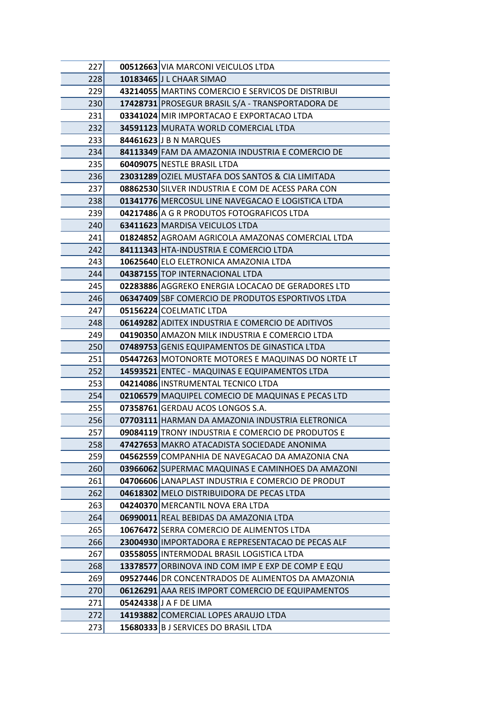| 227        | 00512663 VIA MARCONI VEICULOS LTDA                                                                     |
|------------|--------------------------------------------------------------------------------------------------------|
| 228        | 10183465 J L CHAAR SIMAO                                                                               |
| 229        | 43214055 MARTINS COMERCIO E SERVICOS DE DISTRIBUI                                                      |
| 230        | 17428731 PROSEGUR BRASIL S/A - TRANSPORTADORA DE                                                       |
| 231        | 03341024 MIR IMPORTACAO E EXPORTACAO LTDA                                                              |
| 232        | 34591123 MURATA WORLD COMERCIAL LTDA                                                                   |
| 233        | 84461623 J B N MARQUES                                                                                 |
| 234        | 84113349 FAM DA AMAZONIA INDUSTRIA E COMERCIO DE                                                       |
| 235        | 60409075 NESTLE BRASIL LTDA                                                                            |
| 236        | 23031289 OZIEL MUSTAFA DOS SANTOS & CIA LIMITADA                                                       |
| 237        | 08862530 SILVER INDUSTRIA E COM DE ACESS PARA CON                                                      |
| 238        | 01341776 MERCOSUL LINE NAVEGACAO E LOGISTICA LTDA                                                      |
| 239        | 04217486 A G R PRODUTOS FOTOGRAFICOS LTDA                                                              |
| 240        | 63411623 MARDISA VEICULOS LTDA                                                                         |
| 241        | 01824852 AGROAM AGRICOLA AMAZONAS COMERCIAL LTDA                                                       |
| 242        | 84111343 HTA-INDUSTRIA E COMERCIO LTDA                                                                 |
| 243        | 10625640 ELO ELETRONICA AMAZONIA LTDA                                                                  |
| 244        | 04387155 TOP INTERNACIONAL LTDA                                                                        |
| 245        | 02283886 AGGREKO ENERGIA LOCACAO DE GERADORES LTD                                                      |
| 246        | 06347409 SBF COMERCIO DE PRODUTOS ESPORTIVOS LTDA                                                      |
| 247        | 05156224 COELMATIC LTDA                                                                                |
| 248        | 06149282 ADITEX INDUSTRIA E COMERCIO DE ADITIVOS                                                       |
| 249        | 04190350 AMAZON MILK INDUSTRIA E COMERCIO LTDA                                                         |
| 250        | 07489753 GENIS EQUIPAMENTOS DE GINASTICA LTDA                                                          |
| 251        | 05447263 MOTONORTE MOTORES E MAQUINAS DO NORTE LT                                                      |
| 252        | 14593521 ENTEC - MAQUINAS E EQUIPAMENTOS LTDA                                                          |
| 253        | 04214086 INSTRUMENTAL TECNICO LTDA                                                                     |
| 254        | 02106579 MAQUIPEL COMECIO DE MAQUINAS E PECAS LTD                                                      |
| 255        | 07358761 GERDAU ACOS LONGOS S.A.                                                                       |
| 256        | 07703111 HARMAN DA AMAZONIA INDUSTRIA ELETRONICA                                                       |
| 257        | 09084119 TRONY INDUSTRIA E COMERCIO DE PRODUTOS E                                                      |
| 258        | 47427653 MAKRO ATACADISTA SOCIEDADE ANONIMA                                                            |
| 259        | 04562559 COMPANHIA DE NAVEGACAO DA AMAZONIA CNA                                                        |
| 260        | 03966062 SUPERMAC MAQUINAS E CAMINHOES DA AMAZONI<br>04706606 LANAPLAST INDUSTRIA E COMERCIO DE PRODUT |
| 261<br>262 | 04618302 MELO DISTRIBUIDORA DE PECAS LTDA                                                              |
| 263        | 04240370 MERCANTIL NOVA ERA LTDA                                                                       |
| 264        | 06990011 REAL BEBIDAS DA AMAZONIA LTDA                                                                 |
| 265        | 10676472 SERRA COMERCIO DE ALIMENTOS LTDA                                                              |
| 266        | 23004930 IMPORTADORA E REPRESENTACAO DE PECAS ALF                                                      |
| 267        | 03558055 INTERMODAL BRASIL LOGISTICA LTDA                                                              |
| 268        | 13378577 ORBINOVA IND COM IMP E EXP DE COMP E EQU                                                      |
| 269        | 09527446 DR CONCENTRADOS DE ALIMENTOS DA AMAZONIA                                                      |
| 270        | 06126291 AAA REIS IMPORT COMERCIO DE EQUIPAMENTOS                                                      |
| 271        | 05424338 J A F DE LIMA                                                                                 |
| 272        | 14193882 COMERCIAL LOPES ARAUJO LTDA                                                                   |
| 273        | 15680333 B J SERVICES DO BRASIL LTDA                                                                   |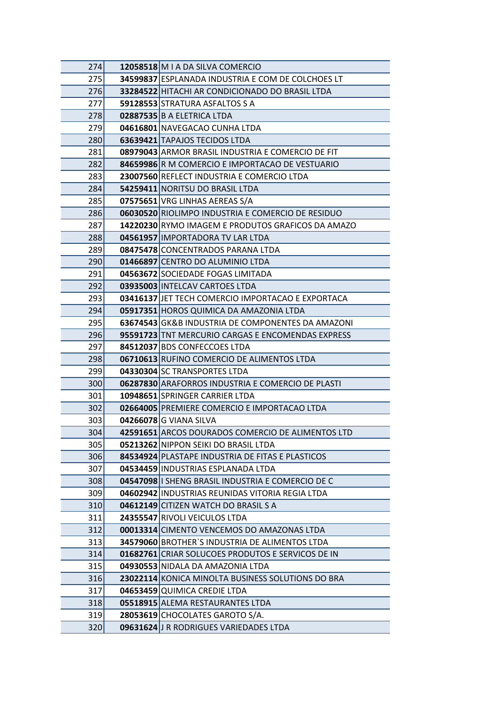| <b>274</b> | 12058518 M I A DA SILVA COMERCIO                  |
|------------|---------------------------------------------------|
| 275        | 34599837 ESPLANADA INDUSTRIA E COM DE COLCHOES LT |
| 276        | 33284522 HITACHI AR CONDICIONADO DO BRASIL LTDA   |
| 277        | 59128553 STRATURA ASFALTOS S A                    |
| 278        | 02887535 B A ELETRICA LTDA                        |
| 279        | 04616801 NAVEGACAO CUNHA LTDA                     |
| 280        | 63639421 TAPAJOS TECIDOS LTDA                     |
| 281        | 08979043 ARMOR BRASIL INDUSTRIA E COMERCIO DE FIT |
| 282        | 84659986 R M COMERCIO E IMPORTACAO DE VESTUARIO   |
| 283        | 23007560 REFLECT INDUSTRIA E COMERCIO LTDA        |
| 284        | 54259411 NORITSU DO BRASIL LTDA                   |
| 285        | 07575651 VRG LINHAS AEREAS S/A                    |
| 286        | 06030520 RIOLIMPO INDUSTRIA E COMERCIO DE RESIDUO |
| 287        | 14220230 RYMO IMAGEM E PRODUTOS GRAFICOS DA AMAZO |
| 288        | 04561957 IMPORTADORA TV LAR LTDA                  |
| 289        | 08475478 CONCENTRADOS PARANA LTDA                 |
| 290        | 01466897 CENTRO DO ALUMINIO LTDA                  |
| 291        | 04563672 SOCIEDADE FOGAS LIMITADA                 |
| 292        | 03935003 INTELCAV CARTOES LTDA                    |
| 293        | 03416137 JET TECH COMERCIO IMPORTACAO E EXPORTACA |
| 294        | 05917351 HOROS QUIMICA DA AMAZONIA LTDA           |
| 295        | 63674543 GK&B INDUSTRIA DE COMPONENTES DA AMAZONI |
| 296        | 95591723 TNT MERCURIO CARGAS E ENCOMENDAS EXPRESS |
| 297        | 84512037 BDS CONFECCOES LTDA                      |
| 298        | 06710613 RUFINO COMERCIO DE ALIMENTOS LTDA        |
| 299        | 04330304 SC TRANSPORTES LTDA                      |
| 300        | 06287830 ARAFORROS INDUSTRIA E COMERCIO DE PLASTI |
| 301        | 10948651 SPRINGER CARRIER LTDA                    |
| 302        | 02664005 PREMIERE COMERCIO E IMPORTACAO LTDA      |
| 303        | 04266078 G VIANA SILVA                            |
| 304        | 42591651 ARCOS DOURADOS COMERCIO DE ALIMENTOS LTD |
| 305        | 05213262 NIPPON SEIKI DO BRASIL LTDA              |
| 306        | 84534924 PLASTAPE INDUSTRIA DE FITAS E PLASTICOS  |
| 307        | 04534459 INDUSTRIAS ESPLANADA LTDA                |
| 308        | 04547098 I SHENG BRASIL INDUSTRIA E COMERCIO DE C |
| 309        | 04602942 INDUSTRIAS REUNIDAS VITORIA REGIA LTDA   |
| 310        | 04612149 CITIZEN WATCH DO BRASIL S A              |
| 311        | 24355547 RIVOLI VEICULOS LTDA                     |
| 312        | 00013314 CIMENTO VENCEMOS DO AMAZONAS LTDA        |
| 313        | 34579060 BROTHER'S INDUSTRIA DE ALIMENTOS LTDA    |
| 314        | 01682761 CRIAR SOLUCOES PRODUTOS E SERVICOS DE IN |
| 315        | 04930553 NIDALA DA AMAZONIA LTDA                  |
| 316        | 23022114 KONICA MINOLTA BUSINESS SOLUTIONS DO BRA |
| 317        | 04653459 QUIMICA CREDIE LTDA                      |
| 318        | 05518915 ALEMA RESTAURANTES LTDA                  |
| 319        | 28053619 CHOCOLATES GAROTO S/A.                   |
| 320        | 09631624 J R RODRIGUES VARIEDADES LTDA            |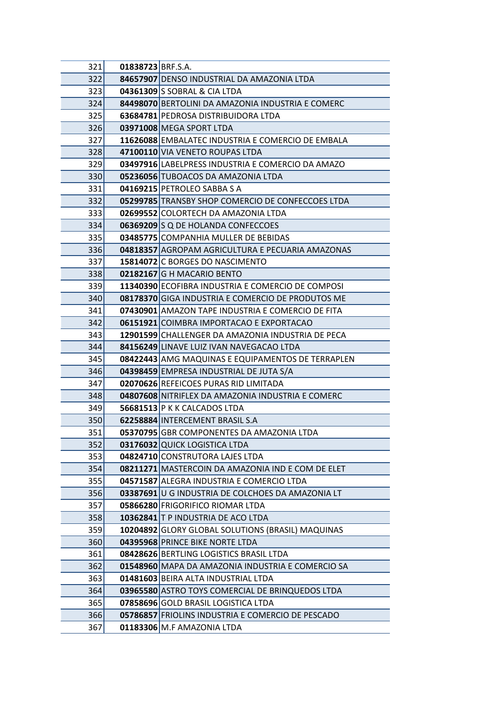| 321 | 01838723 BRF.S.A. |                                                   |
|-----|-------------------|---------------------------------------------------|
| 322 |                   | 84657907 DENSO INDUSTRIAL DA AMAZONIA LTDA        |
| 323 |                   | 04361309 S SOBRAL & CIA LTDA                      |
| 324 |                   | 84498070 BERTOLINI DA AMAZONIA INDUSTRIA E COMERC |
| 325 |                   | 63684781 PEDROSA DISTRIBUIDORA LTDA               |
| 326 |                   | 03971008 MEGA SPORT LTDA                          |
| 327 |                   | 11626088 EMBALATEC INDUSTRIA E COMERCIO DE EMBALA |
| 328 |                   | 47100110 VIA VENETO ROUPAS LTDA                   |
| 329 |                   | 03497916 LABELPRESS INDUSTRIA E COMERCIO DA AMAZO |
| 330 |                   | 05236056 TUBOACOS DA AMAZONIA LTDA                |
| 331 |                   | 04169215 PETROLEO SABBA S A                       |
| 332 |                   | 05299785 TRANSBY SHOP COMERCIO DE CONFECCOES LTDA |
| 333 |                   | 02699552 COLORTECH DA AMAZONIA LTDA               |
| 334 |                   | 06369209 S Q DE HOLANDA CONFECCOES                |
| 335 |                   | 03485775 COMPANHIA MULLER DE BEBIDAS              |
| 336 |                   | 04818357 AGROPAM AGRICULTURA E PECUARIA AMAZONAS  |
| 337 |                   | 15814072 C BORGES DO NASCIMENTO                   |
| 338 |                   | 02182167 G H MACARIO BENTO                        |
| 339 |                   | 11340390 ECOFIBRA INDUSTRIA E COMERCIO DE COMPOSI |
| 340 |                   | 08178370 GIGA INDUSTRIA E COMERCIO DE PRODUTOS ME |
| 341 |                   | 07430901 AMAZON TAPE INDUSTRIA E COMERCIO DE FITA |
| 342 |                   | 06151921 COIMBRA IMPORTACAO E EXPORTACAO          |
| 343 |                   | 12901599 CHALLENGER DA AMAZONIA INDUSTRIA DE PECA |
| 344 |                   | 84156249 LINAVE LUIZ IVAN NAVEGACAO LTDA          |
| 345 |                   | 08422443 AMG MAQUINAS E EQUIPAMENTOS DE TERRAPLEN |
| 346 |                   | 04398459 EMPRESA INDUSTRIAL DE JUTA S/A           |
| 347 |                   | 02070626 REFEICOES PURAS RID LIMITADA             |
| 348 |                   | 04807608 NITRIFLEX DA AMAZONIA INDUSTRIA E COMERC |
| 349 |                   | 56681513 P K K CALCADOS LTDA                      |
| 350 |                   | 62258884 INTERCEMENT BRASIL S.A                   |
| 351 |                   | 05370795 GBR COMPONENTES DA AMAZONIA LTDA         |
| 352 |                   | 03176032 QUICK LOGISTICA LTDA                     |
| 353 |                   | 04824710 CONSTRUTORA LAJES LTDA                   |
| 354 |                   | 08211271 MASTERCOIN DA AMAZONIA IND E COM DE ELET |
| 355 |                   | 04571587 ALEGRA INDUSTRIA E COMERCIO LTDA         |
| 356 |                   | 03387691 U G INDUSTRIA DE COLCHOES DA AMAZONIA LT |
| 357 |                   | 05866280 FRIGORIFICO RIOMAR LTDA                  |
| 358 |                   | 10362841 T P INDUSTRIA DE ACO LTDA                |
| 359 |                   | 10204892 GLORY GLOBAL SOLUTIONS (BRASIL) MAQUINAS |
| 360 |                   | 04395968 PRINCE BIKE NORTE LTDA                   |
| 361 |                   | 08428626 BERTLING LOGISTICS BRASIL LTDA           |
| 362 |                   | 01548960 MAPA DA AMAZONIA INDUSTRIA E COMERCIO SA |
| 363 |                   | 01481603 BEIRA ALTA INDUSTRIAL LTDA               |
| 364 |                   | 03965580 ASTRO TOYS COMERCIAL DE BRINQUEDOS LTDA  |
| 365 |                   | 07858696 GOLD BRASIL LOGISTICA LTDA               |
| 366 |                   | 05786857 FRIOLINS INDUSTRIA E COMERCIO DE PESCADO |
| 367 |                   | 01183306 M.F AMAZONIA LTDA                        |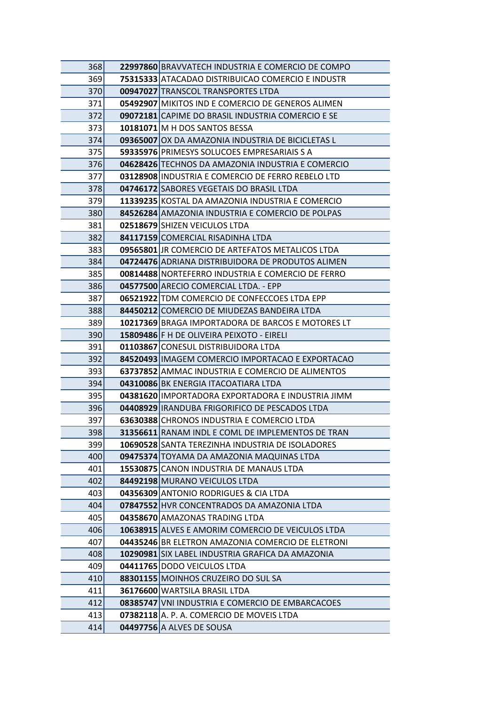| 368 | 22997860 BRAVVATECH INDUSTRIA E COMERCIO DE COMPO        |
|-----|----------------------------------------------------------|
| 369 | 75315333 ATACADAO DISTRIBUICAO COMERCIO E INDUSTR        |
| 370 | 00947027 TRANSCOL TRANSPORTES LTDA                       |
| 371 | 05492907 MIKITOS IND E COMERCIO DE GENEROS ALIMEN        |
| 372 | 09072181 CAPIME DO BRASIL INDUSTRIA COMERCIO E SE        |
| 373 | <b>10181071   M H DOS SANTOS BESSA</b>                   |
| 374 | 09365007 OX DA AMAZONIA INDUSTRIA DE BICICLETAS L        |
| 375 | 59335976 PRIMESYS SOLUCOES EMPRESARIAIS S A              |
| 376 | 04628426 TECHNOS DA AMAZONIA INDUSTRIA E COMERCIO        |
| 377 | 03128908 INDUSTRIA E COMERCIO DE FERRO REBELO LTD        |
| 378 | 04746172 SABORES VEGETAIS DO BRASIL LTDA                 |
| 379 | 11339235 KOSTAL DA AMAZONIA INDUSTRIA E COMERCIO         |
| 380 | 84526284 AMAZONIA INDUSTRIA E COMERCIO DE POLPAS         |
| 381 | 02518679 SHIZEN VEICULOS LTDA                            |
| 382 | 84117159 COMERCIAL RISADINHA LTDA                        |
| 383 | 09565801 JR COMERCIO DE ARTEFATOS METALICOS LTDA         |
| 384 | 04724476 ADRIANA DISTRIBUIDORA DE PRODUTOS ALIMEN        |
| 385 | 00814488 NORTEFERRO INDUSTRIA E COMERCIO DE FERRO        |
| 386 | 04577500 ARECIO COMERCIAL LTDA. - EPP                    |
| 387 | 06521922 TDM COMERCIO DE CONFECCOES LTDA EPP             |
| 388 | 84450212 COMERCIO DE MIUDEZAS BANDEIRA LTDA              |
| 389 | <b>10217369</b> BRAGA IMPORTADORA DE BARCOS E MOTORES LT |
| 390 | 15809486 F H DE OLIVEIRA PEIXOTO - EIRELI                |
| 391 | 01103867 CONESUL DISTRIBUIDORA LTDA                      |
| 392 | 84520493 IMAGEM COMERCIO IMPORTACAO E EXPORTACAO         |
| 393 | 63737852 AMMAC INDUSTRIA E COMERCIO DE ALIMENTOS         |
| 394 | 04310086 BK ENERGIA ITACOATIARA LTDA                     |
| 395 | 04381620 IMPORTADORA EXPORTADORA E INDUSTRIA JIMM        |
| 396 | 04408929 IRANDUBA FRIGORIFICO DE PESCADOS LTDA           |
| 397 | 63630388 CHRONOS INDUSTRIA E COMERCIO LTDA               |
| 398 | 31356611 RANAM INDL E COML DE IMPLEMENTOS DE TRAN        |
| 399 | 10690528 SANTA TEREZINHA INDUSTRIA DE ISOLADORES         |
| 400 | 09475374 TOYAMA DA AMAZONIA MAQUINAS LTDA                |
| 401 | 15530875 CANON INDUSTRIA DE MANAUS LTDA                  |
| 402 | 84492198 MURANO VEICULOS LTDA                            |
| 403 | 04356309 ANTONIO RODRIGUES & CIA LTDA                    |
| 404 | 07847552 HVR CONCENTRADOS DA AMAZONIA LTDA               |
| 405 | 04358670 AMAZONAS TRADING LTDA                           |
| 406 | 10638915 ALVES E AMORIM COMERCIO DE VEICULOS LTDA        |
| 407 | 04435246 BR ELETRON AMAZONIA COMERCIO DE ELETRONI        |
| 408 | 10290981 SIX LABEL INDUSTRIA GRAFICA DA AMAZONIA         |
| 409 | 04411765 DODO VEICULOS LTDA                              |
| 410 | 88301155 MOINHOS CRUZEIRO DO SUL SA                      |
| 411 | 36176600 WARTSILA BRASIL LTDA                            |
| 412 | 08385747 VNI INDUSTRIA E COMERCIO DE EMBARCACOES         |
| 413 | 07382118 A. P. A. COMERCIO DE MOVEIS LTDA                |
| 414 | 04497756 A ALVES DE SOUSA                                |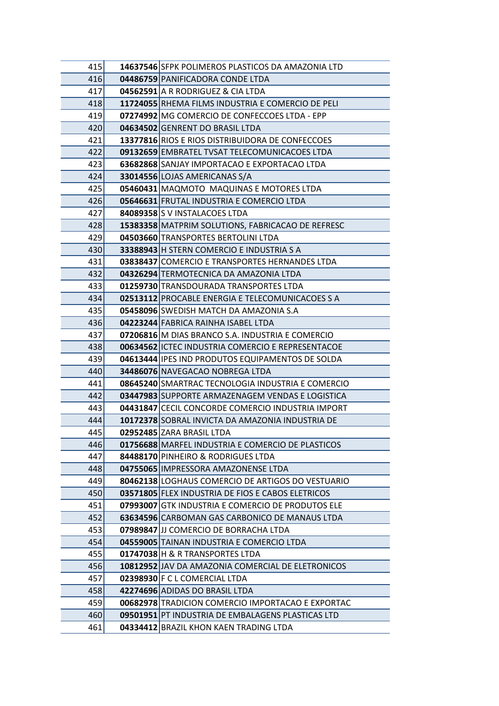| 415        | 14637546 SFPK POLIMEROS PLASTICOS DA AMAZONIA LTD                                   |
|------------|-------------------------------------------------------------------------------------|
| 416        | 04486759 PANIFICADORA CONDE LTDA                                                    |
| 417        | 04562591 A R RODRIGUEZ & CIA LTDA                                                   |
| 418        | 11724055 RHEMA FILMS INDUSTRIA E COMERCIO DE PELI                                   |
| 419        | 07274992 MG COMERCIO DE CONFECCOES LTDA - EPP                                       |
| 420        | 04634502 GENRENT DO BRASIL LTDA                                                     |
| 421        | 13377816 RIOS E RIOS DISTRIBUIDORA DE CONFECCOES                                    |
| 422        | 09132659 EMBRATEL TVSAT TELECOMUNICACOES LTDA                                       |
| 423        | 63682868 SANJAY IMPORTACAO E EXPORTACAO LTDA                                        |
| 424        | 33014556 LOJAS AMERICANAS S/A                                                       |
| 425        | 05460431 MAQMOTO MAQUINAS E MOTORES LTDA                                            |
| 426        | 05646631 FRUTAL INDUSTRIA E COMERCIO LTDA                                           |
| 427        | 84089358 S V INSTALACOES LTDA                                                       |
| 428        | 15383358 MATPRIM SOLUTIONS, FABRICACAO DE REFRESC                                   |
| 429        | 04503660 TRANSPORTES BERTOLINI LTDA                                                 |
| 430        | 33388943 H STERN COMERCIO E INDUSTRIA S A                                           |
| 431        | 03838437 COMERCIO E TRANSPORTES HERNANDES LTDA                                      |
| 432        | 04326294 TERMOTECNICA DA AMAZONIA LTDA                                              |
| 433        | 01259730 TRANSDOURADA TRANSPORTES LTDA                                              |
| 434        | 02513112 PROCABLE ENERGIA E TELECOMUNICACOES S A                                    |
| 435        | 05458096 SWEDISH MATCH DA AMAZONIA S.A                                              |
| 436        | 04223244 FABRICA RAINHA ISABEL LTDA                                                 |
| 437        | 07206816 M DIAS BRANCO S.A. INDUSTRIA E COMERCIO                                    |
| 438        | 00634562 ICTEC INDUSTRIA COMERCIO E REPRESENTACOE                                   |
| 439        | 04613444 IPES IND PRODUTOS EQUIPAMENTOS DE SOLDA                                    |
| 440        | 34486076 NAVEGACAO NOBREGA LTDA                                                     |
| 441        | 08645240 SMARTRAC TECNOLOGIA INDUSTRIA E COMERCIO                                   |
| 442        | 03447983 SUPPORTE ARMAZENAGEM VENDAS E LOGISTICA                                    |
| 443        | 04431847 CECIL CONCORDE COMERCIO INDUSTRIA IMPORT                                   |
| 444        | 10172378 SOBRAL INVICTA DA AMAZONIA INDUSTRIA DE                                    |
| 445        | 02952485 ZARA BRASIL LTDA                                                           |
| 446        | 01756688 MARFEL INDUSTRIA E COMERCIO DE PLASTICOS                                   |
| 447        | 84488170 PINHEIRO & RODRIGUES LTDA                                                  |
| 448        | 04755065 IMPRESSORA AMAZONENSE LTDA                                                 |
| 449        | 80462138 LOGHAUS COMERCIO DE ARTIGOS DO VESTUARIO                                   |
| 450        | 03571805 FLEX INDUSTRIA DE FIOS E CABOS ELETRICOS                                   |
| 451        | 07993007 GTK INDUSTRIA E COMERCIO DE PRODUTOS ELE                                   |
| 452        | 63634596 CARBOMAN GAS CARBONICO DE MANAUS LTDA                                      |
| 453<br>454 | 07989847 JJJ COMERCIO DE BORRACHA LTDA<br>04559005 TAINAN INDUSTRIA E COMERCIO LTDA |
| 455        | 01747038 H & R TRANSPORTES LTDA                                                     |
| 456        | 10812952 JAV DA AMAZONIA COMERCIAL DE ELETRONICOS                                   |
| 457        | 02398930 F C L COMERCIAL LTDA                                                       |
| 458        | 42274696 ADIDAS DO BRASIL LTDA                                                      |
| 459        | 00682978 TRADICION COMERCIO IMPORTACAO E EXPORTAC                                   |
| 460        | 09501951 PT INDUSTRIA DE EMBALAGENS PLASTICAS LTD                                   |
| 461        | 04334412 BRAZIL KHON KAEN TRADING LTDA                                              |
|            |                                                                                     |